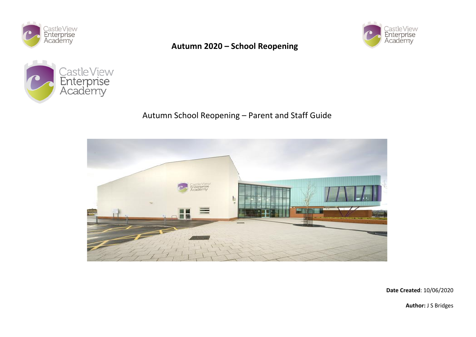







# Autumn School Reopening – Parent and Staff Guide



**Date Created**: 10/06/2020

**Author:** J S Bridges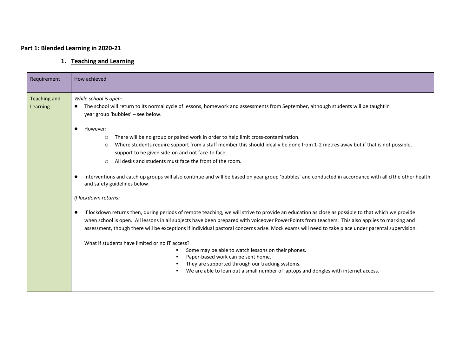## **Part 1: Blended Learning in 2020-21**

## **1. Teaching and Learning**

| Requirement                     | How achieved                                                                                                                                                                                                                                                                                                                                                                                                                                                                                               |
|---------------------------------|------------------------------------------------------------------------------------------------------------------------------------------------------------------------------------------------------------------------------------------------------------------------------------------------------------------------------------------------------------------------------------------------------------------------------------------------------------------------------------------------------------|
| <b>Teaching and</b><br>Learning | While school is open:<br>The school will return to its normal cycle of lessons, homework and assessments from September, although students will be taught in<br>year group 'bubbles' - see below.                                                                                                                                                                                                                                                                                                          |
|                                 | However:<br>$\bullet$<br>There will be no group or paired work in order to help limit cross-contamination.<br>$\circ$<br>Where students require support from a staff member this should ideally be done from 1-2 metres away but if that is not possible,<br>$\circ$<br>support to be given side-on and not face-to-face.                                                                                                                                                                                  |
|                                 | All desks and students must face the front of the room.<br>$\circ$<br>Interventions and catch up groups will also continue and will be based on year group 'bubbles' and conducted in accordance with all ofthe other health<br>and safety guidelines below.                                                                                                                                                                                                                                               |
|                                 | If lockdown returns:                                                                                                                                                                                                                                                                                                                                                                                                                                                                                       |
|                                 | If lockdown returns then, during periods of remote teaching, we will strive to provide an education as close as possible to that which we provide<br>when school is open. All lessons in all subjects have been prepared with voiceover PowerPoints from teachers. This also applies to marking and<br>assessment, though there will be exceptions if individual pastoral concerns arise. Mock exams will need to take place under parental supervision.<br>What if students have limited or no IT access? |
|                                 | Some may be able to watch lessons on their phones.<br>٠<br>Paper-based work can be sent home.<br>They are supported through our tracking systems.<br>We are able to loan out a small number of laptops and dongles with internet access.                                                                                                                                                                                                                                                                   |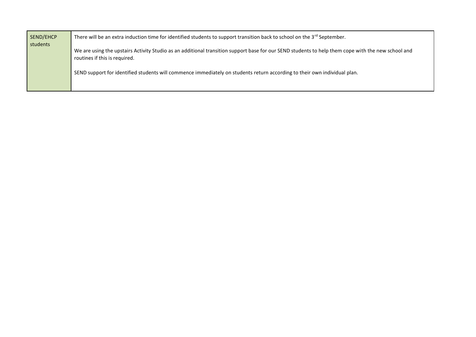| SEND/EHCP<br>students | There will be an extra induction time for identified students to support transition back to school on the $3^{rd}$ September.                                                       |
|-----------------------|-------------------------------------------------------------------------------------------------------------------------------------------------------------------------------------|
|                       | We are using the upstairs Activity Studio as an additional transition support base for our SEND students to help them cope with the new school and<br>routines if this is required. |
|                       | SEND support for identified students will commence immediately on students return according to their own individual plan.                                                           |
|                       |                                                                                                                                                                                     |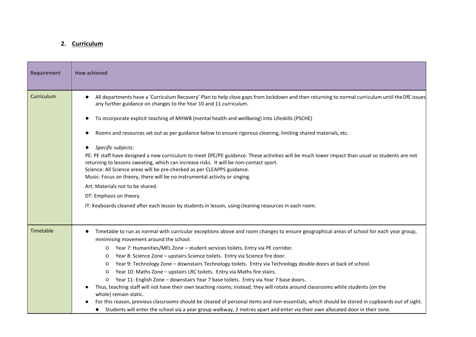#### **2. Curriculum**  $T$  is an extra induction time for identified students to support transition back to support transition back to support transition back to school on the 3rd September. The 3rd September. The 3rd September. The 3rd Septemb

| Requirement       | How achieved                                                                                                                                                                                                                                                                                                                                                                                                                                                                                                                                                                                                                                                                                                                                                                                                                                                                                                                                                                                                                                                                                                                         |
|-------------------|--------------------------------------------------------------------------------------------------------------------------------------------------------------------------------------------------------------------------------------------------------------------------------------------------------------------------------------------------------------------------------------------------------------------------------------------------------------------------------------------------------------------------------------------------------------------------------------------------------------------------------------------------------------------------------------------------------------------------------------------------------------------------------------------------------------------------------------------------------------------------------------------------------------------------------------------------------------------------------------------------------------------------------------------------------------------------------------------------------------------------------------|
| <b>Curriculum</b> | All departments have a 'Curriculum Recovery' Plan to help close gaps from lockdown and then returning to normal curriculum until the DfE issues<br>$\bullet$<br>any further guidance on changes to the Year 10 and 11 curriculum.<br>To incorporate explicit teaching of MHWB (mental health and wellbeing) into Lifeskills (PSCHE)<br>Rooms and resources set out as per guidance below to ensure rigorous cleaning, limiting shared materials, etc.<br>Specific subjects:<br>$\bullet$<br>PE: PE staff have designed a new curriculum to meet DfE/PE guidance. These activities will be much lower impact than usual so students are not<br>returning to lessons sweating, which can increase risks. It will be non-contact sport.<br>Science: All Science areas will be pre-checked as per CLEAPPS guidance.<br>Music: Focus on theory, there will be no instrumental activity or singing.<br>Art: Materials not to be shared.<br>DT: Emphasis on theory.<br>IT: Keyboards cleaned after each lesson by students in lesson, using cleaning resources in each room.                                                                |
| Timetable         | Timetable to run as normal with curricular exceptions above and room changes to ensure geographical areas of school for each year group,<br>minimising movement around the school.<br>Year 7: Humanities/MFL Zone - student services toilets. Entry via PE corridor.<br>$\circ$<br>Year 8: Science Zone - upstairs Science toilets. Entry via Science fire door.<br>$\circ$<br>Year 9: Technology Zone - downstairs Technology toilets. Entry via Technology double doors at back of school.<br>O<br>Year 10: Maths Zone - upstairs LRC toilets. Entry via Maths fire stairs.<br>$\circ$<br>Year 11: English Zone - downstairs Year 7 base toilets. Entry via Year 7 base doors.<br>O<br>Thus, teaching staff will not have their own teaching rooms; instead, they will rotate around classrooms while students (on the<br>whole) remain static.<br>For this reason, previous classrooms should be cleared of personal items and non-essentials, which should be stored in cupboards out of sight.<br>Students will enter the school via a year group walkway, 2 metres apart and enter via their own allocated door in their zone. |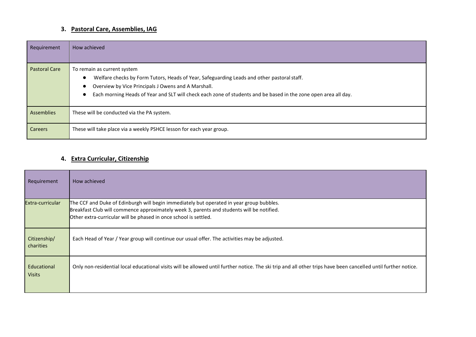## **3. Pastoral Care, Assemblies, IAG**

| Requirement          | How achieved                                                                                                                                                                                                                                                                                        |
|----------------------|-----------------------------------------------------------------------------------------------------------------------------------------------------------------------------------------------------------------------------------------------------------------------------------------------------|
| <b>Pastoral Care</b> | To remain as current system<br>Welfare checks by Form Tutors, Heads of Year, Safeguarding Leads and other pastoral staff.<br>Overview by Vice Principals J Owens and A Marshall.<br>Each morning Heads of Year and SLT will check each zone of students and be based in the zone open area all day. |
| <b>Assemblies</b>    | These will be conducted via the PA system.                                                                                                                                                                                                                                                          |
| <b>Careers</b>       | These will take place via a weekly PSHCE lesson for each year group.                                                                                                                                                                                                                                |

### **4. Extra Curricular, Citizenship**

| Requirement                  | How achieved                                                                                                                                                                                                                                              |
|------------------------------|-----------------------------------------------------------------------------------------------------------------------------------------------------------------------------------------------------------------------------------------------------------|
| Extra-curricular             | The CCF and Duke of Edinburgh will begin immediately but operated in year group bubbles.<br>Breakfast Club will commence approximately week 3, parents and students will be notified.<br>Other extra-curricular will be phased in once school is settled. |
| Citizenship/<br>charities    | Each Head of Year / Year group will continue our usual offer. The activities may be adjusted.                                                                                                                                                             |
| Educational<br><b>Visits</b> | Only non-residential local educational visits will be allowed until further notice. The ski trip and all other trips have been cancelled until further notice.                                                                                            |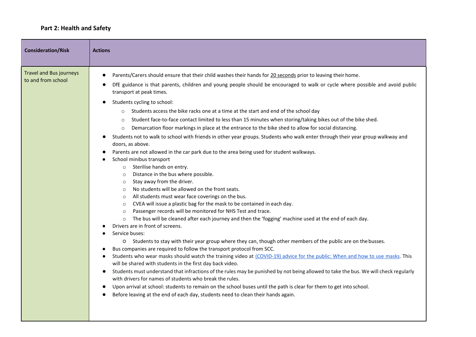### **Part 2: Health and Safety**

| <b>Consideration/Risk</b>                            | <b>Actions</b>                                                                                                                                                                                                                                                                                                                                                                                                                                                                                                                                                                                                                                                                                                                                                                                                                                                                                                                                                                                                                                                                                                                                                                                                                                                                                                                                                                                                                                                                                                                                                                                                                                                                                                                                                                                                                                                                                                                                                                                                                                                                                                                                                                                                                                                                                                                                                                     |
|------------------------------------------------------|------------------------------------------------------------------------------------------------------------------------------------------------------------------------------------------------------------------------------------------------------------------------------------------------------------------------------------------------------------------------------------------------------------------------------------------------------------------------------------------------------------------------------------------------------------------------------------------------------------------------------------------------------------------------------------------------------------------------------------------------------------------------------------------------------------------------------------------------------------------------------------------------------------------------------------------------------------------------------------------------------------------------------------------------------------------------------------------------------------------------------------------------------------------------------------------------------------------------------------------------------------------------------------------------------------------------------------------------------------------------------------------------------------------------------------------------------------------------------------------------------------------------------------------------------------------------------------------------------------------------------------------------------------------------------------------------------------------------------------------------------------------------------------------------------------------------------------------------------------------------------------------------------------------------------------------------------------------------------------------------------------------------------------------------------------------------------------------------------------------------------------------------------------------------------------------------------------------------------------------------------------------------------------------------------------------------------------------------------------------------------------|
| <b>Travel and Bus journeys</b><br>to and from school | Parents/Carers should ensure that their child washes their hands for 20 seconds prior to leaving their home.<br>DfE guidance is that parents, children and young people should be encouraged to walk or cycle where possible and avoid public<br>$\bullet$<br>transport at peak times.<br>Students cycling to school:<br>Students access the bike racks one at a time at the start and end of the school day<br>$\circ$<br>Student face-to-face contact limited to less than 15 minutes when storing/taking bikes out of the bike shed.<br>$\circ$<br>Demarcation floor markings in place at the entrance to the bike shed to allow for social distancing.<br>$\circ$<br>Students not to walk to school with friends in other year groups. Students who walk enter through their year group walkway and<br>doors, as above.<br>Parents are not allowed in the car park due to the area being used for student walkways.<br>School minibus transport<br>Sterilise hands on entry.<br>$\circ$<br>Distance in the bus where possible.<br>$\circ$<br>Stay away from the driver.<br>$\circ$<br>No students will be allowed on the front seats.<br>$\circ$<br>All students must wear face coverings on the bus.<br>$\circ$<br>CVEA will issue a plastic bag for the mask to be contained in each day.<br>$\circ$<br>Passenger records will be monitored for NHS Test and trace.<br>$\circ$<br>The bus will be cleaned after each journey and then the 'fogging' machine used at the end of each day.<br>$\circ$<br>Drivers are in front of screens.<br>Service buses:<br>O Students to stay with their year group where they can, though other members of the public are on the busses.<br>Bus companies are required to follow the transport protocol from SCC.<br>Students who wear masks should watch the training video at (COVID-19) advice for the public: When and how to use masks. This<br>$\bullet$<br>will be shared with students in the first day back video.<br>Students must understand that infractions of the rules may be punished by not being allowed to take the bus. We will check regularly<br>with drivers for names of students who break the rules.<br>Upon arrival at school: students to remain on the school buses until the path is clear for them to get into school.<br>Before leaving at the end of each day, students need to clean their hands again. |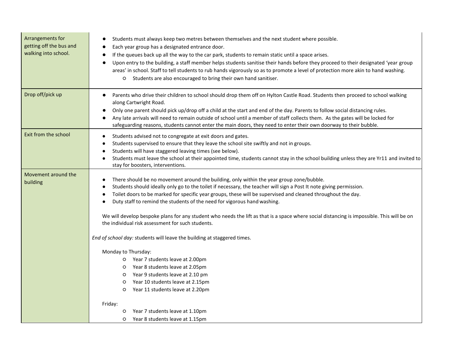| Arrangements for<br>getting off the bus and<br>walking into school. | Students must always keep two metres between themselves and the next student where possible.<br>Each year group has a designated entrance door.<br>If the queues back up all the way to the car park, students to remain static until a space arises.<br>$\bullet$<br>Upon entry to the building, a staff member helps students sanitise their hands before they proceed to their designated 'year group<br>areas' in school. Staff to tell students to rub hands vigorously so as to promote a level of protection more akin to hand washing.<br>Students are also encouraged to bring their own hand sanitiser.<br>$\circ$                                       |
|---------------------------------------------------------------------|--------------------------------------------------------------------------------------------------------------------------------------------------------------------------------------------------------------------------------------------------------------------------------------------------------------------------------------------------------------------------------------------------------------------------------------------------------------------------------------------------------------------------------------------------------------------------------------------------------------------------------------------------------------------|
| Drop off/pick up                                                    | Parents who drive their children to school should drop them off on Hylton Castle Road. Students then proceed to school walking<br>$\bullet$<br>along Cartwright Road.<br>Only one parent should pick up/drop off a child at the start and end of the day. Parents to follow social distancing rules.<br>Any late arrivals will need to remain outside of school until a member of staff collects them. As the gates will be locked for<br>safeguarding reasons, students cannot enter the main doors, they need to enter their own doorway to their bubble.                                                                                                        |
| Exit from the school                                                | Students advised not to congregate at exit doors and gates.<br>$\bullet$<br>Students supervised to ensure that they leave the school site swiftly and not in groups.<br>$\bullet$<br>Students will have staggered leaving times (see below).<br>Students must leave the school at their appointed time, students cannot stay in the school building unless they are Yr11 and invited to<br>$\bullet$<br>stay for boosters, interventions.                                                                                                                                                                                                                          |
| Movement around the<br>building                                     | There should be no movement around the building, only within the year group zone/bubble.<br>$\bullet$<br>Students should ideally only go to the toilet if necessary, the teacher will sign a Post It note giving permission.<br>$\bullet$<br>Toilet doors to be marked for specific year groups, these will be supervised and cleaned throughout the day.<br>$\bullet$<br>Duty staff to remind the students of the need for vigorous hand washing.<br>$\bullet$<br>We will develop bespoke plans for any student who needs the lift as that is a space where social distancing is impossible. This will be on<br>the individual risk assessment for such students. |
|                                                                     | End of school day: students will leave the building at staggered times.<br>Monday to Thursday:<br>O Year 7 students leave at 2.00pm<br>O Year 8 students leave at 2.05pm<br>O Year 9 students leave at 2.10 pm<br>Year 10 students leave at 2.15pm<br>$\circ$<br>Year 11 students leave at 2.20pm<br>$\circ$                                                                                                                                                                                                                                                                                                                                                       |
|                                                                     | Friday:<br>Year 7 students leave at 1.10pm<br>O<br>Year 8 students leave at 1.15pm<br>$\circ$                                                                                                                                                                                                                                                                                                                                                                                                                                                                                                                                                                      |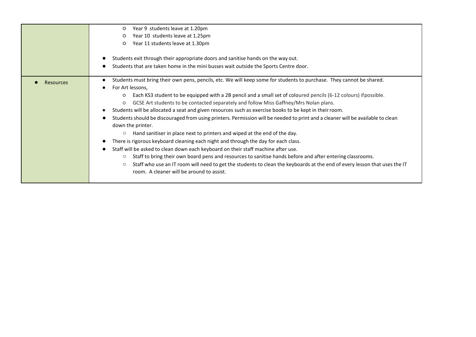|                  | Year 9 students leave at 1.20pm<br>$\circ$<br>Year 10 students leave at 1.25pm<br>$\circ$<br>Year 11 students leave at 1.30pm<br>$\circ$<br>Students exit through their appropriate doors and sanitise hands on the way out.<br>$\bullet$<br>Students that are taken home in the mini busses wait outside the Sports Centre door.<br>$\bullet$                                                                                                                                                                                                                                                                                                                                                                                                                                                                                                                                                                                                                                                                                                                                                                                                                                                                                                                                           |
|------------------|------------------------------------------------------------------------------------------------------------------------------------------------------------------------------------------------------------------------------------------------------------------------------------------------------------------------------------------------------------------------------------------------------------------------------------------------------------------------------------------------------------------------------------------------------------------------------------------------------------------------------------------------------------------------------------------------------------------------------------------------------------------------------------------------------------------------------------------------------------------------------------------------------------------------------------------------------------------------------------------------------------------------------------------------------------------------------------------------------------------------------------------------------------------------------------------------------------------------------------------------------------------------------------------|
| <b>Resources</b> | Students must bring their own pens, pencils, etc. We will keep some for students to purchase. They cannot be shared.<br>$\bullet$<br>For Art lessons,<br>$\bullet$<br>Each KS3 student to be equipped with a 2B pencil and a small set of coloured pencils (6-12 colours) if possible.<br>$\circ$<br>GCSE Art students to be contacted separately and follow Miss Gaffney/Mrs Nolan plans.<br>$\circ$<br>Students will be allocated a seat and given resources such as exercise books to be kept in their room.<br>$\bullet$<br>Students should be discouraged from using printers. Permission will be needed to print and a cleaner will be available to clean<br>$\bullet$<br>down the printer.<br>Hand sanitiser in place next to printers and wiped at the end of the day.<br>$\circ$<br>There is rigorous keyboard cleaning each night and through the day for each class.<br>Staff will be asked to clean down each keyboard on their staff machine after use.<br>$\bullet$<br>Staff to bring their own board pens and resources to sanitise hands before and after entering classrooms.<br>О<br>Staff who use an IT room will need to get the students to clean the keyboards at the end of every lesson that uses the IT<br>$\circ$<br>room. A cleaner will be around to assist. |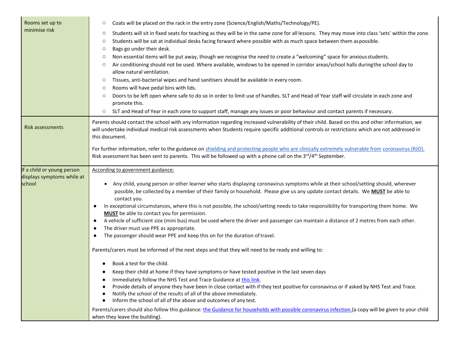| Rooms set up to                      | Coats will be placed on the rack in the entry zone (Science/English/Maths/Technology/PE).<br>$\circ$                                                                                                                                                                                                                                                |
|--------------------------------------|-----------------------------------------------------------------------------------------------------------------------------------------------------------------------------------------------------------------------------------------------------------------------------------------------------------------------------------------------------|
| minimise risk                        | Students will sit in fixed seats for teaching as they will be in the same zone for all lessons. They may move into class 'sets' within the zone.<br>$\circ$                                                                                                                                                                                         |
|                                      | Students will be sat at individual desks facing forward where possible with as much space between them aspossible.<br>$\circ$                                                                                                                                                                                                                       |
|                                      | Bags go under their desk.<br>O                                                                                                                                                                                                                                                                                                                      |
|                                      | Non-essential items will be put away, though we recognise the need to create a "welcoming" space for anxious students.<br>$\circ$                                                                                                                                                                                                                   |
|                                      | Air conditioning should not be used. Where available, windows to be opened in corridor areas/school halls during the school day to<br>$\circ$<br>allow natural ventilation.                                                                                                                                                                         |
|                                      | Tissues, anti-bacterial wipes and hand sanitisers should be available in every room.<br>$\circ$                                                                                                                                                                                                                                                     |
|                                      | Rooms will have pedal bins with lids.<br>$\circ$                                                                                                                                                                                                                                                                                                    |
|                                      | Doors to be left open where safe to do so in order to limit use of handles. SLT and Head of Year staff will circulate in each zone and<br>$\circ$<br>promote this.                                                                                                                                                                                  |
|                                      | SLT and Head of Year in each zone to support staff, manage any issues or poor behaviour and contact parents if necessary.<br>$\circ$                                                                                                                                                                                                                |
| <b>Risk assessments</b>              | Parents should contact the school with any information regarding increased vulnerability of their child. Based on this and other information, we<br>will undertake individual medical risk assessments when Students require specific additional controls or restrictions which are not addressed in<br>this document.                              |
|                                      | For further information, refer to the guidance on shielding and protecting people who are clinically extremely vulnerable from coronavirus (RJO).<br>Risk assessment has been sent to parents. This will be followed up with a phone call on the $3^{rd}/4^{th}$ September.                                                                         |
| If a child or young person           | According to government guidance:                                                                                                                                                                                                                                                                                                                   |
| displays symptoms while at<br>school | Any child, young person or other learner who starts displaying coronavirus symptoms while at their school/setting should, wherever<br>possible, be collected by a member of their family or household. Please give us any update contact details. We <b>MUST</b> be able to<br>contact you.                                                         |
|                                      | In exceptional circumstances, where this is not possible, the school/setting needs to take responsibility for transporting them home. We<br>$\bullet$<br><b>MUST</b> be able to contact you for permission.                                                                                                                                         |
|                                      | A vehicle of sufficient size (mini bus) must be used where the driver and passenger can maintain a distance of 2 metres from each other.<br>$\bullet$<br>The driver must use PPE as appropriate.<br>$\bullet$                                                                                                                                       |
|                                      | The passenger should wear PPE and keep this on for the duration of travel.<br>$\bullet$                                                                                                                                                                                                                                                             |
|                                      | Parents/carers must be informed of the next steps and that they will need to be ready and willing to:                                                                                                                                                                                                                                               |
|                                      | Book a test for the child.                                                                                                                                                                                                                                                                                                                          |
|                                      | Keep their child at home if they have symptoms or have tested positive in the last seven days                                                                                                                                                                                                                                                       |
|                                      | Immediately follow the NHS Test and Trace Guidance at this link.<br>Provide details of anyone they have been in close contact with if they test positive for coronavirus or if asked by NHS Test and Trace.<br>Notify the school of the results of all of the above immediately.<br>Inform the school of all of the above and outcomes of any test. |
|                                      | Parents/carers should also follow this guidance: the Guidance for households with possible coronavirus infection.(a copy will be given to your child<br>when they leave the building).                                                                                                                                                              |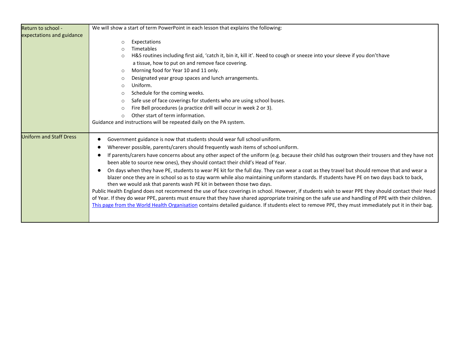| Return to school -             | We will show a start of term PowerPoint in each lesson that explains the following:                                                                                                                                                                                                                                                                                                                                                                                 |
|--------------------------------|---------------------------------------------------------------------------------------------------------------------------------------------------------------------------------------------------------------------------------------------------------------------------------------------------------------------------------------------------------------------------------------------------------------------------------------------------------------------|
| expectations and guidance      |                                                                                                                                                                                                                                                                                                                                                                                                                                                                     |
|                                | Expectations<br>$\circ$                                                                                                                                                                                                                                                                                                                                                                                                                                             |
|                                | Timetables<br>$\bigcirc$                                                                                                                                                                                                                                                                                                                                                                                                                                            |
|                                | H&S routines including first aid, 'catch it, bin it, kill it'. Need to cough or sneeze into your sleeve if you don'thave<br>$\circ$                                                                                                                                                                                                                                                                                                                                 |
|                                | a tissue, how to put on and remove face covering.                                                                                                                                                                                                                                                                                                                                                                                                                   |
|                                | Morning food for Year 10 and 11 only.<br>$\circ$                                                                                                                                                                                                                                                                                                                                                                                                                    |
|                                | Designated year group spaces and lunch arrangements.<br>$\circ$                                                                                                                                                                                                                                                                                                                                                                                                     |
|                                | Uniform.<br>$\circ$                                                                                                                                                                                                                                                                                                                                                                                                                                                 |
|                                | Schedule for the coming weeks.<br>$\circ$                                                                                                                                                                                                                                                                                                                                                                                                                           |
|                                | Safe use of face coverings for students who are using school buses.<br>$\circ$                                                                                                                                                                                                                                                                                                                                                                                      |
|                                | Fire Bell procedures (a practice drill will occur in week 2 or 3).<br>$\circ$                                                                                                                                                                                                                                                                                                                                                                                       |
|                                | Other start of term information.<br>$\bigcirc$                                                                                                                                                                                                                                                                                                                                                                                                                      |
|                                | Guidance and instructions will be repeated daily on the PA system.                                                                                                                                                                                                                                                                                                                                                                                                  |
|                                |                                                                                                                                                                                                                                                                                                                                                                                                                                                                     |
| <b>Uniform and Staff Dress</b> | Government guidance is now that students should wear full school uniform.                                                                                                                                                                                                                                                                                                                                                                                           |
|                                | Wherever possible, parents/carers should frequently wash items of school uniform.                                                                                                                                                                                                                                                                                                                                                                                   |
|                                | If parents/carers have concerns about any other aspect of the uniform (e.g. because their child has outgrown their trousers and they have not<br>been able to source new ones), they should contact their child's Head of Year.                                                                                                                                                                                                                                     |
|                                | On days when they have PE, students to wear PE kit for the full day. They can wear a coat as they travel but should remove that and wear a<br>blazer once they are in school so as to stay warm while also maintaining uniform standards. If students have PE on two days back to back,<br>then we would ask that parents wash PE kit in between those two days.                                                                                                    |
|                                | Public Health England does not recommend the use of face coverings in school. However, if students wish to wear PPE they should contact their Head<br>of Year. If they do wear PPE, parents must ensure that they have shared appropriate training on the safe use and handling of PPE with their children.<br>This page from the World Health Organisation contains detailed guidance. If students elect to remove PPE, they must immediately put it in their bag. |
|                                |                                                                                                                                                                                                                                                                                                                                                                                                                                                                     |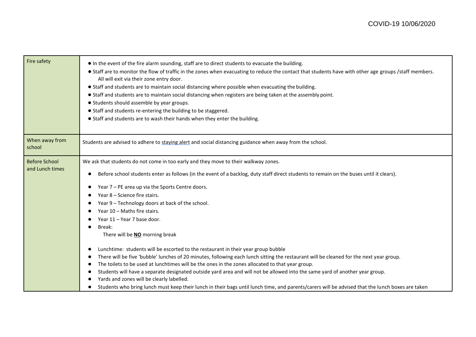| • In the event of the fire alarm sounding, staff are to direct students to evacuate the building.<br>• Staff are to monitor the flow of traffic in the zones when evacuating to reduce the contact that students have with other age groups /staff members.<br>All will exit via their zone entry door.<br>• Staff and students are to maintain social distancing where possible when evacuating the building.<br>• Staff and students are to maintain social distancing when registers are being taken at the assembly point.<br>• Students should assemble by year groups.<br>• Staff and students re-entering the building to be staggered.<br>• Staff and students are to wash their hands when they enter the building.                                                                                                                                                                                                                                                                                                                                                |
|-----------------------------------------------------------------------------------------------------------------------------------------------------------------------------------------------------------------------------------------------------------------------------------------------------------------------------------------------------------------------------------------------------------------------------------------------------------------------------------------------------------------------------------------------------------------------------------------------------------------------------------------------------------------------------------------------------------------------------------------------------------------------------------------------------------------------------------------------------------------------------------------------------------------------------------------------------------------------------------------------------------------------------------------------------------------------------|
| Students are advised to adhere to staying alert and social distancing guidance when away from the school.                                                                                                                                                                                                                                                                                                                                                                                                                                                                                                                                                                                                                                                                                                                                                                                                                                                                                                                                                                   |
| We ask that students do not come in too early and they move to their walkway zones.<br>Before school students enter as follows (in the event of a backlog, duty staff direct students to remain on the buses until it clears).<br>$\bullet$<br>Year 7 - PE area up via the Sports Centre doors.<br>Year 8 - Science fire stairs.<br>Year 9 - Technology doors at back of the school.<br>$\bullet$<br>Year 10 - Maths fire stairs.<br>Year 11 - Year 7 base door.<br>Break:<br>There will be <b>NO</b> morning break<br>Lunchtime: students will be escorted to the restaurant in their year group bubble<br>$\bullet$<br>There will be five 'bubble' lunches of 20 minutes, following each lunch sitting the restaurant will be cleaned for the next year group.<br>The toilets to be used at lunchtimes will be the ones in the zones allocated to that year group.<br>$\bullet$<br>Students will have a separate designated outside yard area and will not be allowed into the same yard of another year group.<br>$\bullet$<br>Yards and zones will be clearly labelled. |
| Students who bring lunch must keep their lunch in their bags until lunch time, and parents/carers will be advised that the lunch boxes are taken                                                                                                                                                                                                                                                                                                                                                                                                                                                                                                                                                                                                                                                                                                                                                                                                                                                                                                                            |
|                                                                                                                                                                                                                                                                                                                                                                                                                                                                                                                                                                                                                                                                                                                                                                                                                                                                                                                                                                                                                                                                             |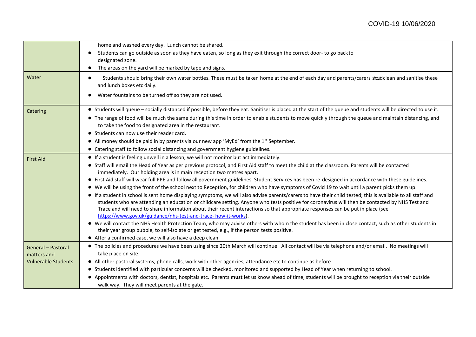|                            | home and washed every day. Lunch cannot be shared.                                                                                                                                                |
|----------------------------|---------------------------------------------------------------------------------------------------------------------------------------------------------------------------------------------------|
|                            | Students can go outside as soon as they have eaten, so long as they exit through the correct door- to go backto<br>$\bullet$                                                                      |
|                            | designated zone.                                                                                                                                                                                  |
|                            | The areas on the yard will be marked by tape and signs.<br>$\bullet$                                                                                                                              |
| Water                      | Students should bring their own water bottles. These must be taken home at the end of each day and parents/carers stall clean and sanitise these<br>$\bullet$<br>and lunch boxes etc daily.       |
|                            | Water fountains to be turned off so they are not used.                                                                                                                                            |
| Catering                   | • Students will queue - socially distanced if possible, before they eat. Sanitiser is placed at the start of the queue and students will be directed to use it.                                   |
|                            | • The range of food will be much the same during this time in order to enable students to move quickly through the queue and maintain distancing, and                                             |
|                            | to take the food to designated area in the restaurant.                                                                                                                                            |
|                            | • Students can now use their reader card.                                                                                                                                                         |
|                            | • All money should be paid in by parents via our new app 'MyEd' from the $1st$ September.                                                                                                         |
|                            | • Catering staff to follow social distancing and government hygiene guidelines.                                                                                                                   |
| <b>First Aid</b>           | • If a student is feeling unwell in a lesson, we will not monitor but act immediately.                                                                                                            |
|                            | • Staff will email the Head of Year as per previous protocol, and First Aid staff to meet the child at the classroom. Parents will be contacted                                                   |
|                            | immediately. Our holding area is in main reception two metres apart.                                                                                                                              |
|                            | • First Aid staff will wear full PPE and follow all government guidelines. Student Services has been re-designed in accordance with these guidelines.                                             |
|                            | • We will be using the front of the school next to Reception, for children who have symptoms of Covid 19 to wait until a parent picks them up.                                                    |
|                            | • If a student in school is sent home displaying symptoms, we will also advise parents/carers to have their child tested; this is available to all staff and                                      |
|                            | students who are attending an education or childcare setting. Anyone who tests positive for coronavirus will then be contacted by NHS Test and                                                    |
|                            | Trace and will need to share information about their recent interactions so that appropriate responses can be put in place (see<br>https://www.gov.uk/guidance/nhs-test-and-trace- how-it-works). |
|                            | • We will contact the NHS Health Protection Team, who may advise others with whom the student has been in close contact, such as other students in                                                |
|                            | their year group bubble, to self-isolate or get tested, e.g., if the person tests positive.                                                                                                       |
|                            | • After a confirmed case, we will also have a deep clean                                                                                                                                          |
| General - Pastoral         | • The policies and procedures we have been using since 20th March will continue. All contact will be via telephone and/or email. No meetings will                                                 |
| matters and                | take place on site.                                                                                                                                                                               |
| <b>Vulnerable Students</b> | • All other pastoral systems, phone calls, work with other agencies, attendance etc to continue as before.                                                                                        |
|                            | • Students identified with particular concerns will be checked, monitored and supported by Head of Year when returning to school.                                                                 |
|                            | ● Appointments with doctors, dentist, hospitals etc. Parents must let us know ahead of time, students will be brought to reception via their outside                                              |
|                            | walk way. They will meet parents at the gate.                                                                                                                                                     |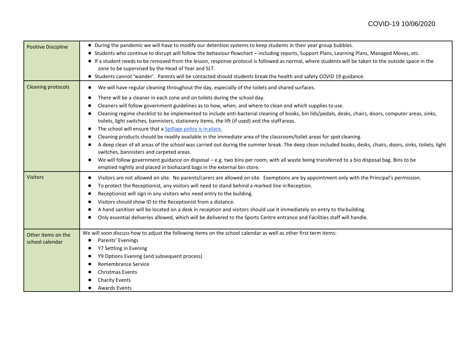| <b>Positive Discipline</b>            | • During the pandemic we will have to modify our detention systems to keep students in their year group bubbles.<br>Students who continue to disrupt will follow the behaviour flowchart - including reports, Support Plans, Learning Plans, Managed Moves, etc.<br>$\bullet$<br>If a student needs to be removed from the lesson, response protocol is followed as normal, where students will be taken to the outside space in the<br>zone to be supervised by the Head of Year and SLT.<br>• Students cannot 'wander'. Parents will be contacted should students break the health and safety COVID 19 guidance.                                                                                                                                                                                                                                                                                                                                                                                                                                                                                                                                                                                                                                  |
|---------------------------------------|-----------------------------------------------------------------------------------------------------------------------------------------------------------------------------------------------------------------------------------------------------------------------------------------------------------------------------------------------------------------------------------------------------------------------------------------------------------------------------------------------------------------------------------------------------------------------------------------------------------------------------------------------------------------------------------------------------------------------------------------------------------------------------------------------------------------------------------------------------------------------------------------------------------------------------------------------------------------------------------------------------------------------------------------------------------------------------------------------------------------------------------------------------------------------------------------------------------------------------------------------------|
| <b>Cleaning protocols</b>             | We will have regular cleaning throughout the day, especially of the toilets and shared surfaces.<br>$\bullet$<br>There will be a cleaner in each zone and on toilets during the school day.<br>$\bullet$<br>Cleaners will follow government guidelines as to how, when, and where to clean and which supplies to use.<br>Cleaning regime checklist to be implemented to include anti-bacterial cleaning of books, bin lids/pedals, desks, chairs, doors, computer areas, sinks,<br>toilets, light switches, bannisters, stationery items, the lift (if used) and the staff areas.<br>The school will ensure that a Spillage policy is in place.<br>$\bullet$<br>Cleaning products should be readily available in the immediate area of the classroom/toilet areas for spot cleaning.<br>$\bullet$<br>A deep clean of all areas of the school was carried out during the summer break. The deep clean included books, desks, chairs, doors, sinks, toilets, light<br>switches, bannisters and carpeted areas.<br>We will follow government guidance on disposal - e.g. two bins per room, with all waste being transferred to a bio disposal bag. Bins to be<br>$\bullet$<br>emptied nightly and placed in biohazard bags in the external bin store. |
| <b>Visitors</b>                       | Visitors are not allowed on site. No parents/carers are allowed on site. Exemptions are by appointment only with the Principal's permission.<br>To protect the Receptionist, any visitors will need to stand behind a marked line in Reception.<br>Receptionist will sign in any visitors who need entry to the building.<br>$\bullet$<br>Visitors should show ID to the Receptionist from a distance.<br>A hand sanitiser will be located on a desk in reception and visitors should use it immediately on entry to the building.<br>Only essential deliveries allowed, which will be delivered to the Sports Centre entrance and Facilities staff will handle.                                                                                                                                                                                                                                                                                                                                                                                                                                                                                                                                                                                    |
| Other items on the<br>school calendar | We will soon discuss how to adjust the following items on the school calendar as well as other first term items:<br>Parents' Evenings<br>Y7 Settling in Evening<br>٠<br>Y9 Options Evening (and subsequent process)<br>Remembrance Service<br>Christmas Events<br><b>Charity Events</b><br><b>Awards Events</b>                                                                                                                                                                                                                                                                                                                                                                                                                                                                                                                                                                                                                                                                                                                                                                                                                                                                                                                                     |